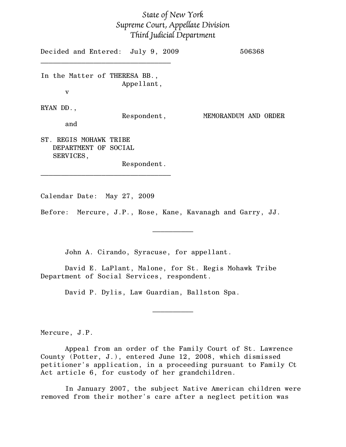## State of New York Supreme Court, Appellate Division Third Judicial Department

Decided and Entered: July 9, 2009 506368  $\mathcal{L}=\{1,2,3,4,5\}$ In the Matter of THERESA BB., Appellant, v RYAN DD., Respondent, MEMORANDUM AND ORDER and ST. REGIS MOHAWK TRIBE DEPARTMENT OF SOCIAL SERVICES, Respondent.

Calendar Date: May 27, 2009

 $\mathcal{L}=\{1,2,3,4,5\}$ 

Before: Mercure, J.P., Rose, Kane, Kavanagh and Garry, JJ.

 $\mathcal{L}_\text{max}$ 

John A. Cirando, Syracuse, for appellant.

David E. LaPlant, Malone, for St. Regis Mohawk Tribe Department of Social Services, respondent.

David P. Dylis, Law Guardian, Ballston Spa.

Mercure, J.P.

Appeal from an order of the Family Court of St. Lawrence County (Potter, J.), entered June 12, 2008, which dismissed petitioner's application, in a proceeding pursuant to Family Ct Act article 6, for custody of her grandchildren.

 $\frac{1}{2}$ 

In January 2007, the subject Native American children were removed from their mother's care after a neglect petition was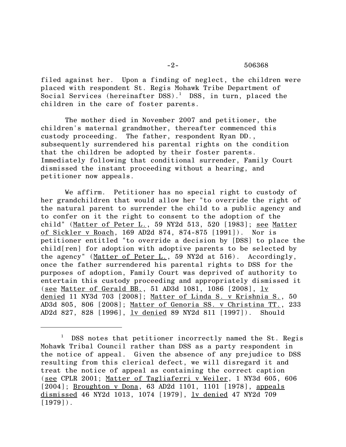## -2- 506368

filed against her. Upon a finding of neglect, the children were placed with respondent St. Regis Mohawk Tribe Department of Social Services (hereinafter DSS). $^1$  DSS, in turn, placed the children in the care of foster parents.

The mother died in November 2007 and petitioner, the children's maternal grandmother, thereafter commenced this custody proceeding. The father, respondent Ryan DD., subsequently surrendered his parental rights on the condition that the children be adopted by their foster parents. Immediately following that conditional surrender, Family Court dismissed the instant proceeding without a hearing, and petitioner now appeals.

We affirm. Petitioner has no special right to custody of her grandchildren that would allow her "to override the right of the natural parent to surrender the child to a public agency and to confer on it the right to consent to the adoption of the child" (Matter of Peter L., 59 NY2d 513, 520 [1983]; see Matter of Sickler v Roach, 169 AD2d 874, 874-875 [1991]). Nor is petitioner entitled "to override a decision by [DSS] to place the child[ren] for adoption with adoptive parents to be selected by the agency" (Matter of Peter L., 59 NY2d at 516). Accordingly, once the father surrendered his parental rights to DSS for the purposes of adoption, Family Court was deprived of authority to entertain this custody proceeding and appropriately dismissed it (see Matter of Gerald BB., 51 AD3d 1081, 1086 [2008], <u>lv</u> denied 11 NY3d 703 [2008]; Matter of Linda S. v Krishnia S., 50 AD3d 805, 806 [2008]; Matter of Genoria SS. v Christina TT., 233 AD2d 827, 828 [1996], <u>lv denied</u> 89 NY2d 811 [1997]). Should

<sup>1</sup> DSS notes that petitioner incorrectly named the St. Regis Mohawk Tribal Council rather than DSS as a party respondent in the notice of appeal. Given the absence of any prejudice to DSS resulting from this clerical defect, we will disregard it and treat the notice of appeal as containing the correct caption (see CPLR 2001; Matter of Tagliaferri v Weiler, 1 NY3d 605, 606 [2004]; Broughton v Dona, 63 AD2d 1101, 1101 [1978], appeals dismissed 46 NY2d 1013, 1074 [1979], lv denied 47 NY2d 709  $[1979]$ .